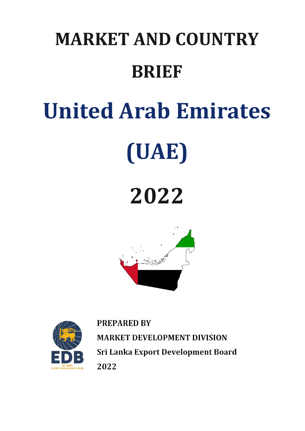## **MARKET AND COUNTRY BRIEF**

# **United Arab Emirates**



### **2022**





**PREPARED BY MARKET DEVELOPMENT DIVISION** Sri Lanka Export Development Board 2022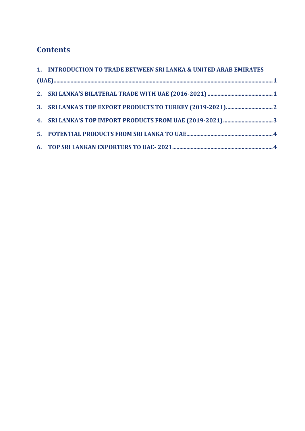#### **Contents**

| 1. INTRODUCTION TO TRADE BETWEEN SRI LANKA & UNITED ARAB EMIRATES |  |
|-------------------------------------------------------------------|--|
|                                                                   |  |
|                                                                   |  |
|                                                                   |  |
|                                                                   |  |
|                                                                   |  |
|                                                                   |  |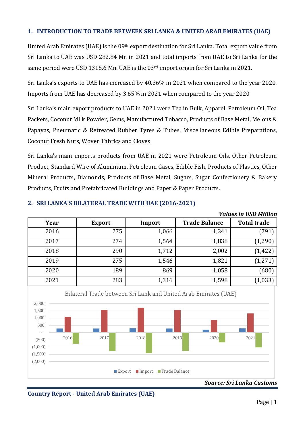#### <span id="page-2-0"></span>**1. INTRODUCTION TO TRADE BETWEEN SRI LANKA & UNITED ARAB EMIRATES (UAE)**

United Arab Emirates (UAE) is the 09th export destination for Sri Lanka. Total export value from Sri Lanka to UAE was USD 282.84 Mn in 2021 and total imports from UAE to Sri Lanka for the same period were USD 1315.6 Mn. UAE is the 03rd import origin for Sri Lanka in 2021.

Sri Lanka's exports to UAE has increased by 40.36% in 2021 when compared to the year 2020. Imports from UAE has decreased by 3.65% in 2021 when compared to the year 2020

Sri Lanka's main export products to UAE in 2021 were Tea in Bulk, Apparel, Petroleum Oil, Tea Packets, Coconut Milk Powder, Gems, Manufactured Tobacco, Products of Base Metal, Melons & Papayas, Pneumatic & Retreated Rubber Tyres & Tubes, Miscellaneous Edible Preparations, Coconut Fresh Nuts, Woven Fabrics and Cloves

Sri Lanka's main imports products from UAE in 2021 were Petroleum Oils, Other Petroleum Product, Standard Wire of Aluminium, Petroleum Gases, Edible Fish, Products of Plastics, Other Mineral Products, Diamonds, Products of Base Metal, Sugars, Sugar Confectionery & Bakery Products, Fruits and Prefabricated Buildings and Paper & Paper Products.

|      |               |        |                      | <b>Values in USD Million</b> |
|------|---------------|--------|----------------------|------------------------------|
| Year | <b>Export</b> | Import | <b>Trade Balance</b> | <b>Total trade</b>           |
| 2016 | 275           | 1,066  | 1,341                | (791)                        |
| 2017 | 274           | 1,564  | 1,838                | (1, 290)                     |
| 2018 | 290           | 1,712  | 2,002                | (1, 422)                     |
| 2019 | 275           | 1,546  | 1,821                | (1, 271)                     |
| 2020 | 189           | 869    | 1,058                | (680)                        |
| 2021 | 283           | 1,316  | 1,598                | (1, 033)                     |

#### <span id="page-2-1"></span>**2. SRI LANKA'S BILATERAL TRADE WITH UAE (2016-2021)**



**Country Report - United Arab Emirates (UAE)**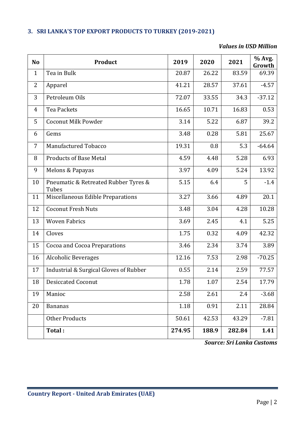#### <span id="page-3-0"></span>**3. SRI LANKA'S TOP EXPORT PRODUCTS TO TURKEY (2019-2021)**

#### *Values in USD Million*

| N <sub>o</sub> | Product                                       | 2019   | 2020  | 2021   | % Avg.<br>Growth |
|----------------|-----------------------------------------------|--------|-------|--------|------------------|
| $\mathbf{1}$   | Tea in Bulk                                   | 20.87  | 26.22 | 83.59  | 69.39            |
| $\overline{2}$ | Apparel                                       | 41.21  | 28.57 | 37.61  | $-4.57$          |
| 3              | Petroleum Oils                                | 72.07  | 33.55 | 34.3   | $-37.12$         |
| 4              | Tea Packets                                   | 16.65  | 10.71 | 16.83  | 0.53             |
| 5              | <b>Coconut Milk Powder</b>                    | 3.14   | 5.22  | 6.87   | 39.2             |
| 6              | Gems                                          | 3.48   | 0.28  | 5.81   | 25.67            |
| $\overline{7}$ | Manufactured Tobacco                          | 19.31  | 0.8   | 5.3    | $-64.64$         |
| 8              | <b>Products of Base Metal</b>                 | 4.59   | 4.48  | 5.28   | 6.93             |
| 9              | Melons & Papayas                              | 3.97   | 4.09  | 5.24   | 13.92            |
| 10             | Pneumatic & Retreated Rubber Tyres &<br>Tubes | 5.15   | 6.4   | 5      | $-1.4$           |
| 11             | Miscellaneous Edible Preparations             | 3.27   | 3.66  | 4.89   | 20.1             |
| 12             | <b>Coconut Fresh Nuts</b>                     | 3.48   | 3.04  | 4.28   | 10.28            |
| 13             | <b>Woven Fabrics</b>                          | 3.69   | 2.45  | 4.1    | 5.25             |
| 14             | Cloves                                        | 1.75   | 0.32  | 4.09   | 42.32            |
| 15             | Cocoa and Cocoa Preparations                  | 3.46   | 2.34  | 3.74   | 3.89             |
| 16             | <b>Alcoholic Beverages</b>                    | 12.16  | 7.53  | 2.98   | $-70.25$         |
| 17             | Industrial & Surgical Gloves of Rubber        | 0.55   | 2.14  | 2.59   | 77.57            |
| 18             | <b>Desiccated Coconut</b>                     | 1.78   | 1.07  | 2.54   | 17.79            |
| 19             | Manioc                                        | 2.58   | 2.61  | 2.4    | $-3.68$          |
| 20             | <b>Bananas</b>                                | 1.18   | 0.91  | 2.11   | 28.84            |
|                | <b>Other Products</b>                         | 50.61  | 42.53 | 43.29  | $-7.81$          |
|                | Total:                                        | 274.95 | 188.9 | 282.84 | 1.41             |

*Source: Sri Lanka Customs*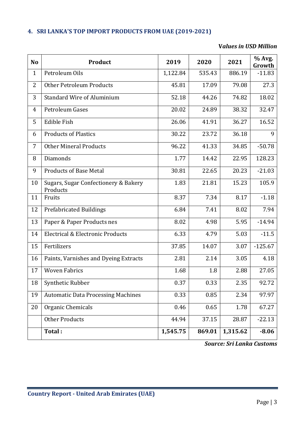#### <span id="page-4-0"></span>**4. SRI LANKA'S TOP IMPORT PRODUCTS FROM UAE (2019-2021)**

#### **V***alues in USD Million*

| N <sub>o</sub> | Product                                          | 2019     | 2020   | 2021     | % Avg.<br>Growth |
|----------------|--------------------------------------------------|----------|--------|----------|------------------|
| $\mathbf{1}$   | Petroleum Oils                                   | 1,122.84 | 535.43 | 886.19   | $-11.83$         |
| 2              | <b>Other Petroleum Products</b>                  | 45.81    | 17.09  | 79.08    | 27.3             |
| 3              | <b>Standard Wire of Aluminium</b>                | 52.18    | 44.26  | 74.82    | 18.02            |
| $\overline{4}$ | Petroleum Gases                                  | 20.02    | 24.89  | 38.32    | 32.47            |
| 5              | <b>Edible Fish</b>                               | 26.06    | 41.91  | 36.27    | 16.52            |
| 6              | <b>Products of Plastics</b>                      | 30.22    | 23.72  | 36.18    | 9                |
| 7              | <b>Other Mineral Products</b>                    | 96.22    | 41.33  | 34.85    | $-50.78$         |
| 8              | Diamonds                                         | 1.77     | 14.42  | 22.95    | 128.23           |
| 9              | <b>Products of Base Metal</b>                    | 30.81    | 22.65  | 20.23    | $-21.03$         |
| 10             | Sugars, Sugar Confectionery & Bakery<br>Products | 1.83     | 21.81  | 15.23    | 105.9            |
| 11             | Fruits                                           | 8.37     | 7.34   | 8.17     | $-1.18$          |
| 12             | <b>Prefabricated Buildings</b>                   | 6.84     | 7.41   | 8.02     | 7.94             |
| 13             | Paper & Paper Products nes                       | 8.02     | 4.98   | 5.95     | $-14.94$         |
| 14             | Electrical & Electronic Products                 | 6.33     | 4.79   | 5.03     | $-11.5$          |
| 15             | Fertilizers                                      | 37.85    | 14.07  | 3.07     | $-125.67$        |
| 16             | Paints, Varnishes and Dyeing Extracts            | 2.81     | 2.14   | 3.05     | 4.18             |
| 17             | <b>Woven Fabrics</b>                             | 1.68     | 1.8    | 2.88     | 27.05            |
| 18             | Synthetic Rubber                                 | 0.37     | 0.33   | 2.35     | 92.72            |
| 19             | <b>Automatic Data Processing Machines</b>        | 0.33     | 0.85   | 2.34     | 97.97            |
| 20             | Organic Chemicals                                | 0.46     | 0.65   | 1.78     | 67.27            |
|                | <b>Other Products</b>                            | 44.94    | 37.15  | 28.87    | $-22.13$         |
|                | Total:                                           | 1,545.75 | 869.01 | 1,315.62 | $-8.06$          |

*Source: Sri Lanka Customs*